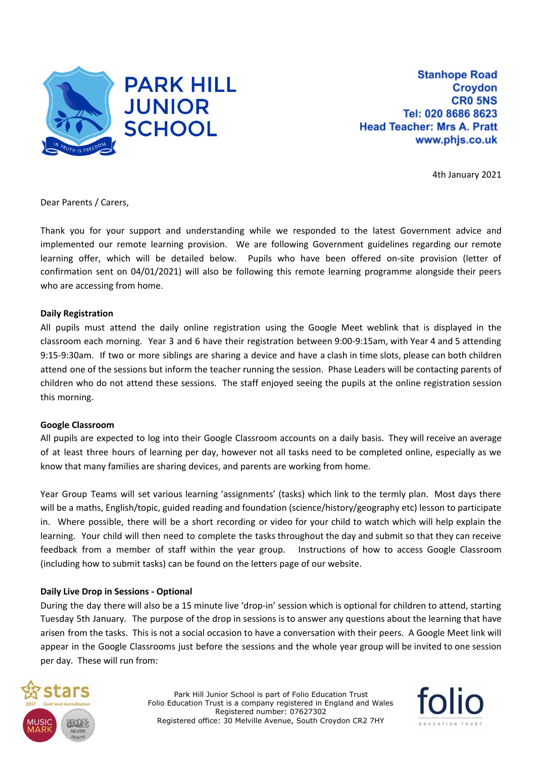

**Stanhope Road Croydon CRO 5NS** Tel: 020 8686 8623 **Head Teacher: Mrs A. Pratt** www.phjs.co.uk

4th January 2021

Dear Parents / Carers,

Thank you for your support and understanding while we responded to the latest Government advice and implemented our remote learning provision. We are following Government guidelines regarding our remote learning offer, which will be detailed below. Pupils who have been offered on-site provision (letter of confirmation sent on 04/01/2021) will also be following this remote learning programme alongside their peers who are accessing from home.

### **Daily Registration**

All pupils must attend the daily online registration using the Google Meet weblink that is displayed in the classroom each morning. Year 3 and 6 have their registration between 9:00-9:15am, with Year 4 and 5 attending 9:15-9:30am. If two or more siblings are sharing a device and have a clash in time slots, please can both children attend one of the sessions but inform the teacher running the session. Phase Leaders will be contacting parents of children who do not attend these sessions. The staff enjoyed seeing the pupils at the online registration session this morning.

### **Google Classroom**

All pupils are expected to log into their Google Classroom accounts on a daily basis. They will receive an average of at least three hours of learning per day, however not all tasks need to be completed online, especially as we know that many families are sharing devices, and parents are working from home.

Year Group Teams will set various learning 'assignments' (tasks) which link to the termly plan. Most days there will be a maths, English/topic, guided reading and foundation (science/history/geography etc) lesson to participate in. Where possible, there will be a short recording or video for your child to watch which will help explain the learning. Your child will then need to complete the tasks throughout the day and submit so that they can receive feedback from a member of staff within the year group. Instructions of how to access Google Classroom (including how to submit tasks) can be found on the letters page of our website.

### **Daily Live Drop in Sessions - Optional**

During the day there will also be a 15 minute live 'drop-in' session which is optional for children to attend, starting Tuesday 5th January. The purpose of the drop in sessions is to answer any questions about the learning that have arisen from the tasks. This is not a social occasion to have a conversation with their peers. A Google Meet link will appear in the Google Classrooms just before the sessions and the whole year group will be invited to one session per day. These will run from:



Park Hill Junior School is part of Folio Education Trust Folio Education Trust is a company registered in England and Wales Registered number: 07627302 Registered office: 30 Melville Avenue, South Croydon CR2 7HY

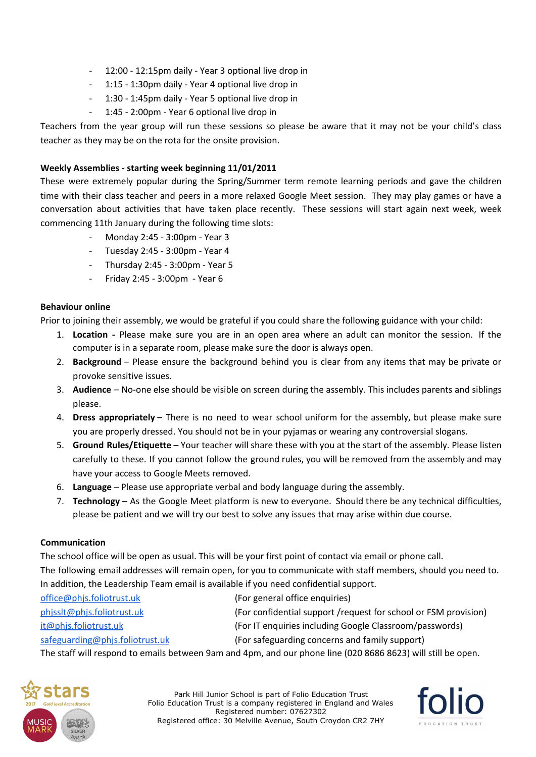- 12:00 12:15pm daily Year 3 optional live drop in
- 1:15 1:30pm daily Year 4 optional live drop in
- 1:30 1:45pm daily Year 5 optional live drop in
- 1:45 2:00pm Year 6 optional live drop in

Teachers from the year group will run these sessions so please be aware that it may not be your child's class teacher as they may be on the rota for the onsite provision.

# **Weekly Assemblies - starting week beginning 11/01/2011**

These were extremely popular during the Spring/Summer term remote learning periods and gave the children time with their class teacher and peers in a more relaxed Google Meet session. They may play games or have a conversation about activities that have taken place recently. These sessions will start again next week, week commencing 11th January during the following time slots:

- Monday 2:45 3:00pm Year 3
- Tuesday 2:45 3:00pm Year 4
- Thursday 2:45 3:00pm Year 5
- Friday 2:45 3:00pm Year 6

### **Behaviour online**

Prior to joining their assembly, we would be grateful if you could share the following guidance with your child:

- 1. **Location -** Please make sure you are in an open area where an adult can monitor the session. If the computer is in a separate room, please make sure the door is always open.
- 2. **Background** Please ensure the background behind you is clear from any items that may be private or provoke sensitive issues.
- 3. **Audience** No-one else should be visible on screen during the assembly. This includes parents and siblings please.
- 4. **Dress appropriately** There is no need to wear school uniform for the assembly, but please make sure you are properly dressed. You should not be in your pyjamas or wearing any controversial slogans.
- 5. **Ground Rules/Etiquette** Your teacher will share these with you at the start of the assembly. Please listen carefully to these. If you cannot follow the ground rules, you will be removed from the assembly and may have your access to Google Meets removed.
- 6. **Language** Please use appropriate verbal and body language during the assembly.
- 7. **Technology** As the Google Meet platform is new to everyone. Should there be any technical difficulties, please be patient and we will try our best to solve any issues that may arise within due course.

## **Communication**

The school office will be open as usual. This will be your first point of contact via email or phone call. The following email addresses will remain open, for you to communicate with staff members, should you need to. In addition, the Leadership Team email is available if you need confidential support.

| office@phjs.foliotrust.uk       | (For general office enquiries)                                                                                  |
|---------------------------------|-----------------------------------------------------------------------------------------------------------------|
| phissIt@phis.foliotrust.uk      | (For confidential support /request for school or FSM provision)                                                 |
| it@phjs.foliotrust.uk           | (For IT enquiries including Google Classroom/passwords)                                                         |
| safeguarding@phis.foliotrust.uk | (For safeguarding concerns and family support)                                                                  |
|                                 | The staff will account the carefle between Asia and Anne and somehouse they (A3A ACAC AC33) will still be suppr |

The staff will respond to emails between 9am and 4pm, and our phone line (020 8686 8623) will still be open.



Park Hill Junior School is part of Folio Education Trust Folio Education Trust is a company registered in England and Wales Registered number: 07627302 Registered office: 30 Melville Avenue, South Croydon CR2 7HY